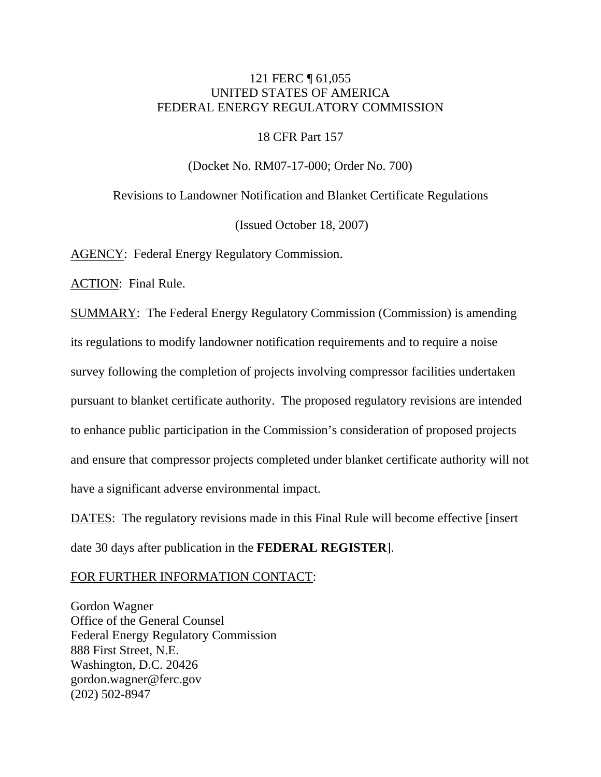# 121 FERC ¶ 61,055 UNITED STATES OF AMERICA FEDERAL ENERGY REGULATORY COMMISSION

18 CFR Part 157

(Docket No. RM07-17-000; Order No. 700)

Revisions to Landowner Notification and Blanket Certificate Regulations

(Issued October 18, 2007)

AGENCY: Federal Energy Regulatory Commission.

ACTION: Final Rule.

SUMMARY: The Federal Energy Regulatory Commission (Commission) is amending its regulations to modify landowner notification requirements and to require a noise survey following the completion of projects involving compressor facilities undertaken pursuant to blanket certificate authority. The proposed regulatory revisions are intended to enhance public participation in the Commission's consideration of proposed projects and ensure that compressor projects completed under blanket certificate authority will not have a significant adverse environmental impact.

DATES: The regulatory revisions made in this Final Rule will become effective [insert] date 30 days after publication in the **FEDERAL REGISTER**].

FOR FURTHER INFORMATION CONTACT:

Gordon Wagner Office of the General Counsel Federal Energy Regulatory Commission 888 First Street, N.E. Washington, D.C. 20426 gordon.wagner@ferc.gov (202) 502-8947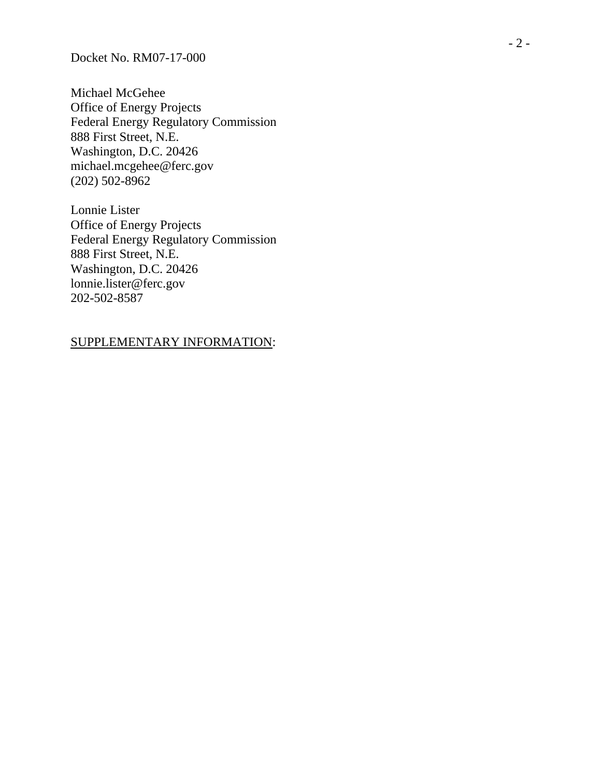Docket No. RM07-17-000

Michael McGehee Office of Energy Projects Federal Energy Regulatory Commission 888 First Street, N.E. Washington, D.C. 20426 michael.mcgehee@ferc.gov (202) 502-8962

Lonnie Lister Office of Energy Projects Federal Energy Regulatory Commission 888 First Street, N.E. Washington, D.C. 20426 lonnie.lister@ferc.gov 202-502-8587

#### SUPPLEMENTARY INFORMATION :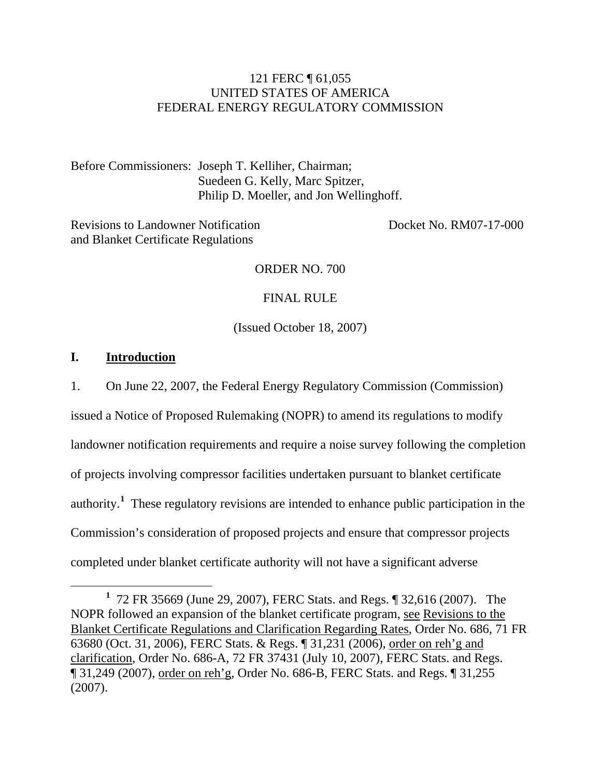# 121 FERC ¶ 61,055 UNITED STATES OF AMERICA FEDERAL ENERGY REGULATORY COMMISSION

Before Commissioners: Joseph T. Kelliher, Chairman; Suedeen G. Kelly, Marc Spitzer, Philip D. Moeller, and Jon Wellinghoff.

Revisions to Landowner Notification Docket No. RM07-17-000 and Blanket Certificate Regulations

#### ORDER NO. 700

#### FINAL RULE

(Issued October 18, 2007)

## **I. Introduction**

1. On June 22, 2007, the Federal Energy Regulatory Commission (Commission)

issued a Notice of Proposed Rulemaking (NOPR) to amend its regulations to modify landowner notification requirements and require a noise survey following the completion of projects involving compressor facilities undertaken pursuant to blanket certificate authority.**<sup>1</sup>** These regulatory revisions are intended to enhance public participation in the Commission's consideration of proposed projects and ensure that compressor projects completed under blanket certificate authority will not have a significant adverse

<sup>&</sup>lt;u>1</u> 72 FR 35669 (June 29, 2007), FERC Stats. and Regs. ¶ 32,616 (2007). The NOPR followed an expansion of the blanket certificate program, see Revisions to the Blanket Certificate Regulations and Clarification Regarding Rates, Order No. 686, 71 FR 63680 (Oct. 31, 2006), FERC Stats. & Regs. ¶ 31,231 (2006), order on reh'g and clarification, Order No. 686-A, 72 FR 37431 (July 10, 2007), FERC Stats. and Regs. ¶ 31,249 (2007), order on reh'g, Order No. 686-B, FERC Stats. and Regs. ¶ 31,255 (2007).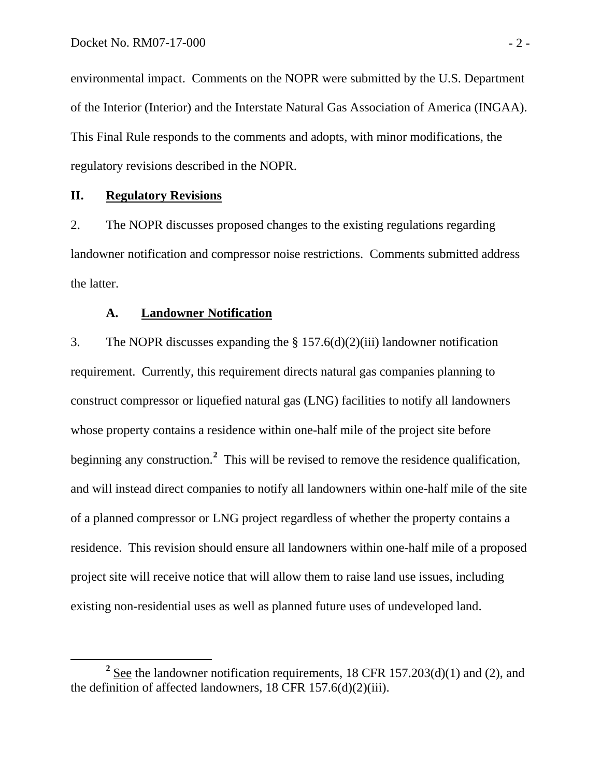environmental impact. Comments on the NOPR were submitted by the U.S. Department of the Interior (Interior) and the Interstate Natural Gas Association of America (INGAA). This Final Rule responds to the comments and adopts, with minor modifications, the regulatory revisions described in the NOPR.

# **II. Regulatory Revisions**

2. The NOPR discusses proposed changes to the existing regulations regarding landowner notification and compressor noise restrictions. Comments submitted address the latter.

#### **A. Landowner Notification**

3. The NOPR discusses expanding the § 157.6(d)(2)(iii) landowner notification requirement. Currently, this requirement directs natural gas companies planning to construct compressor or liquefied natural gas (LNG) facilities to notify all landowners whose property contains a residence within one-half mile of the project site before beginning any construction.**<sup>2</sup>** This will be revised to remove the residence qualification, and will instead direct companies to notify all landowners within one-half mile of the site of a planned compressor or LNG project regardless of whether the property contains a residence. This revision should ensure all landowners within one-half mile of a proposed project site will receive notice that will allow them to raise land use issues, including existing non-residential uses as well as planned future uses of undeveloped land.

**<sup>2</sup>**  $2$  See the landowner notification requirements, 18 CFR 157.203(d)(1) and (2), and the definition of affected landowners, 18 CFR 157.6(d)(2)(iii).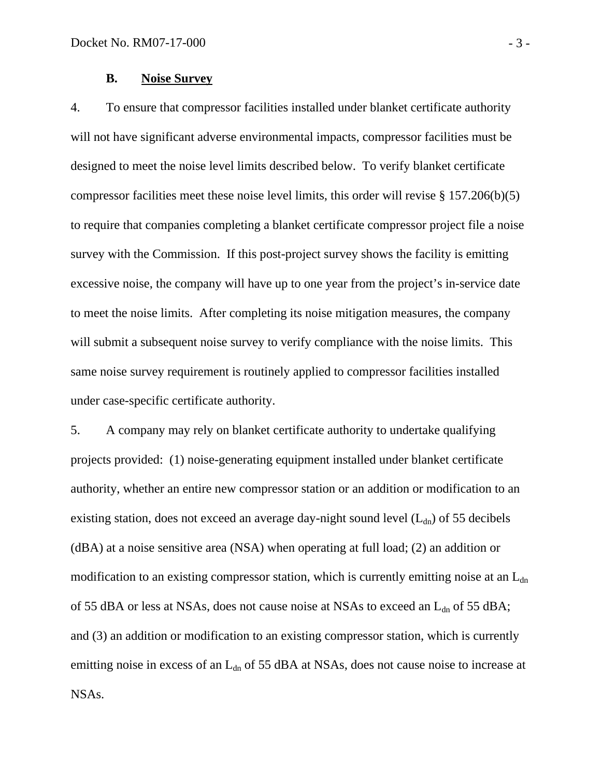# **B. Noise Survey**

4. To ensure that compressor facilities installed under blanket certificate authority will not have significant adverse environmental impacts, compressor facilities must be designed to meet the noise level limits described below. To verify blanket certificate compressor facilities meet these noise level limits, this order will revise § 157.206(b)(5) to require that companies completing a blanket certificate compressor project file a noise survey with the Commission. If this post-project survey shows the facility is emitting excessive noise, the company will have up to one year from the project's in-service date to meet the noise limits. After completing its noise mitigation measures, the company will submit a subsequent noise survey to verify compliance with the noise limits. This same noise survey requirement is routinely applied to compressor facilities installed under case-specific certificate authority.

5. A company may rely on blanket certificate authority to undertake qualifying projects provided: (1) noise-generating equipment installed under blanket certificate authority, whether an entire new compressor station or an addition or modification to an existing station, does not exceed an average day-night sound level  $(L<sub>dn</sub>)$  of 55 decibels (dBA) at a noise sensitive area (NSA) when operating at full load; (2) an addition or modification to an existing compressor station, which is currently emitting noise at an  $L_{dn}$ of 55 dBA or less at NSAs, does not cause noise at NSAs to exceed an  $L_{dn}$  of 55 dBA; and (3) an addition or modification to an existing compressor station, which is currently emitting noise in excess of an  $L_{dn}$  of 55 dBA at NSAs, does not cause noise to increase at NSAs.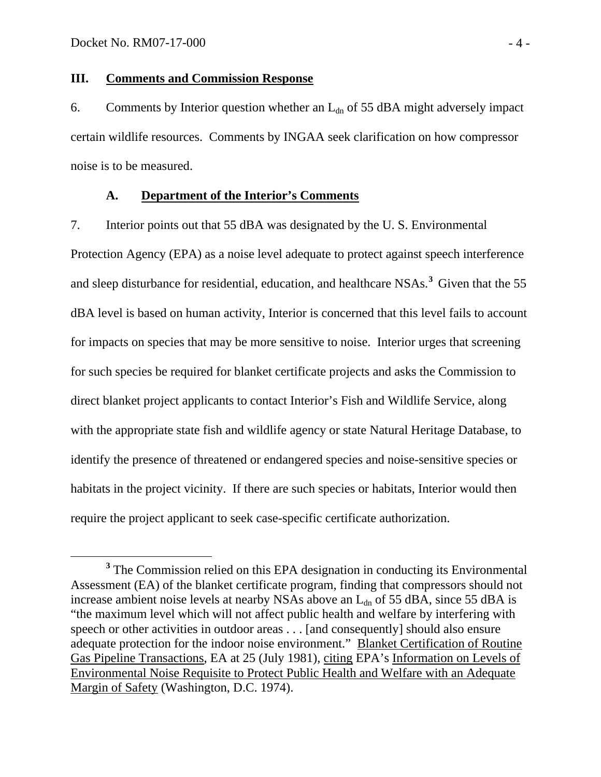#### **III. Comments and Commission Response**

6. Comments by Interior question whether an  $L_{dn}$  of 55 dBA might adversely impact certain wildlife resources. Comments by INGAA seek clarification on how compressor noise is to be measured.

# **A. Department of the Interior's Comments**

7. Interior points out that 55 dBA was designated by the U. S. Environmental Protection Agency (EPA) as a noise level adequate to protect against speech interference and sleep disturbance for residential, education, and healthcare NSAs.<sup>3</sup> Given that the 55 dBA level is based on human activity, Interior is concerned that this level fails to account for impacts on species that may be more sensitive to noise. Interior urges that screening for such species be required for blanket certificate projects and asks the Commission to direct blanket project applicants to contact Interior's Fish and Wildlife Service, along with the appropriate state fish and wildlife agency or state Natural Heritage Database, to identify the presence of threatened or endangered species and noise-sensitive species or habitats in the project vicinity. If there are such species or habitats, Interior would then require the project applicant to seek case-specific certificate authorization.

**<sup>3</sup>** <sup>3</sup> The Commission relied on this EPA designation in conducting its Environmental Assessment (EA) of the blanket certificate program, finding that compressors should not increase ambient noise levels at nearby NSAs above an  $L_{dn}$  of 55 dBA, since 55 dBA is "the maximum level which will not affect public health and welfare by interfering with speech or other activities in outdoor areas . . . [and consequently] should also ensure adequate protection for the indoor noise environment." Blanket Certification of Routine Gas Pipeline Transactions, EA at 25 (July 1981), citing EPA's Information on Levels of Environmental Noise Requisite to Protect Public Health and Welfare with an Adequate Margin of Safety (Washington, D.C. 1974).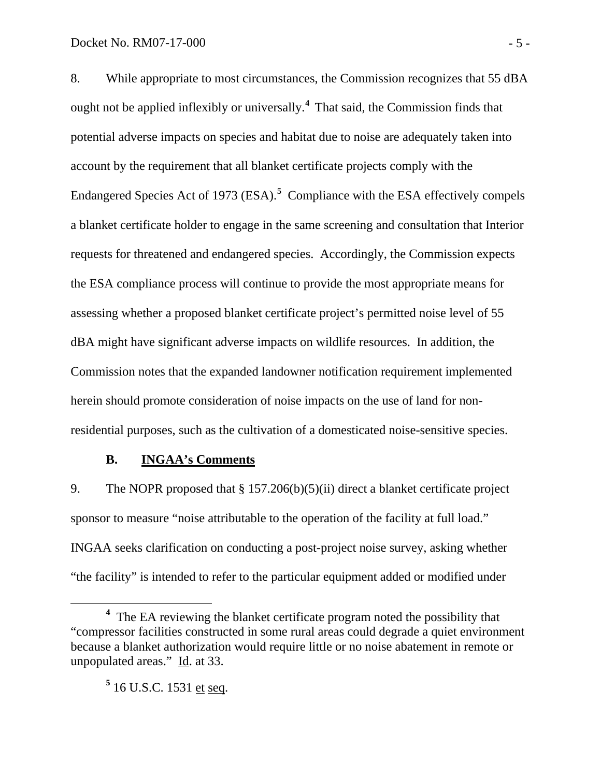8. While appropriate to most circumstances, the Commission recognizes that 55 dBA ought not be applied inflexibly or universally.**<sup>4</sup>**That said, the Commission finds that potential adverse impacts on species and habitat due to noise are adequately taken into account by the requirement that all blanket certificate projects comply with the Endangered Species Act of 1973 (ESA).<sup>5</sup> Compliance with the ESA effectively compels a blanket certificate holder to engage in the same screening and consultation that Interior requests for threatened and endangered species. Accordingly, the Commission expects the ESA compliance process will continue to provide the most appropriate means for assessing whether a proposed blanket certificate project's permitted noise level of 55 dBA might have significant adverse impacts on wildlife resources. In addition, the Commission notes that the expanded landowner notification requirement implemented herein should promote consideration of noise impacts on the use of land for nonresidential purposes, such as the cultivation of a domesticated noise-sensitive species.

#### **B. INGAA's Comments**

9. The NOPR proposed that § 157.206(b)(5)(ii) direct a blanket certificate project sponsor to measure "noise attributable to the operation of the facility at full load." INGAA seeks clarification on conducting a post-project noise survey, asking whether "the facility" is intended to refer to the particular equipment added or modified under

**<sup>4</sup>** <sup>4</sup> The EA reviewing the blanket certificate program noted the possibility that "compressor facilities constructed in some rural areas could degrade a quiet environment because a blanket authorization would require little or no noise abatement in remote or unpopulated areas." Id. at 33.

**<sup>5</sup>** 16 U.S.C. 1531 et seq.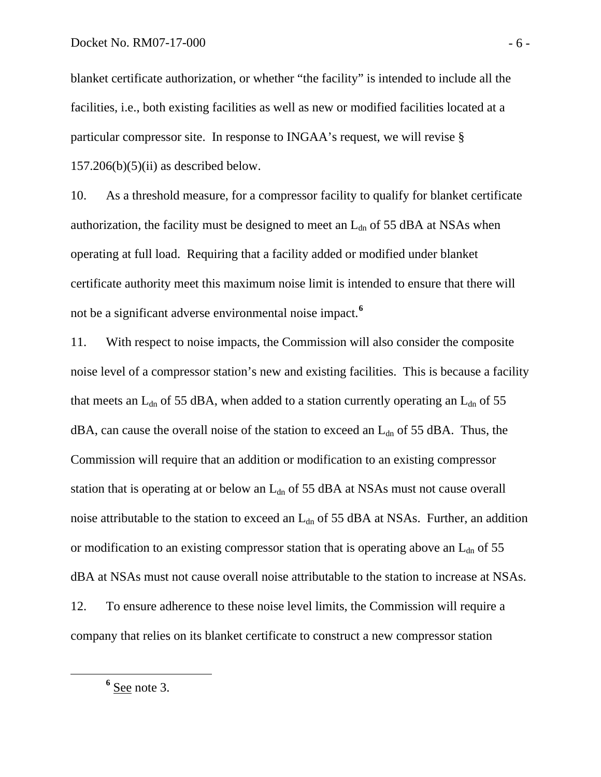blanket certificate authorization, or whether "the facility" is intended to include all the facilities, i.e., both existing facilities as well as new or modified facilities located at a particular compressor site. In response to INGAA's request, we will revise §  $157.206(b)(5)(ii)$  as described below.

10. As a threshold measure, for a compressor facility to qualify for blanket certificate authorization, the facility must be designed to meet an  $L_{dn}$  of 55 dBA at NSAs when operating at full load. Requiring that a facility added or modified under blanket certificate authority meet this maximum noise limit is intended to ensure that there will not be a significant adverse environmental noise impact.**<sup>6</sup>**

11. With respect to noise impacts, the Commission will also consider the composite noise level of a compressor station's new and existing facilities. This is because a facility that meets an  $L_{dn}$  of 55 dBA, when added to a station currently operating an  $L_{dn}$  of 55  $dBA$ , can cause the overall noise of the station to exceed an  $L_{dn}$  of 55 dBA. Thus, the Commission will require that an addition or modification to an existing compressor station that is operating at or below an  $L_{dn}$  of 55 dBA at NSAs must not cause overall noise attributable to the station to exceed an  $L_{dn}$  of 55 dBA at NSAs. Further, an addition or modification to an existing compressor station that is operating above an  $L_{dn}$  of 55 dBA at NSAs must not cause overall noise attributable to the station to increase at NSAs. 12. To ensure adherence to these noise level limits, the Commission will require a company that relies on its blanket certificate to construct a new compressor station

**<sup>6</sup>**  $<sup>6</sup>$  See note 3.</sup>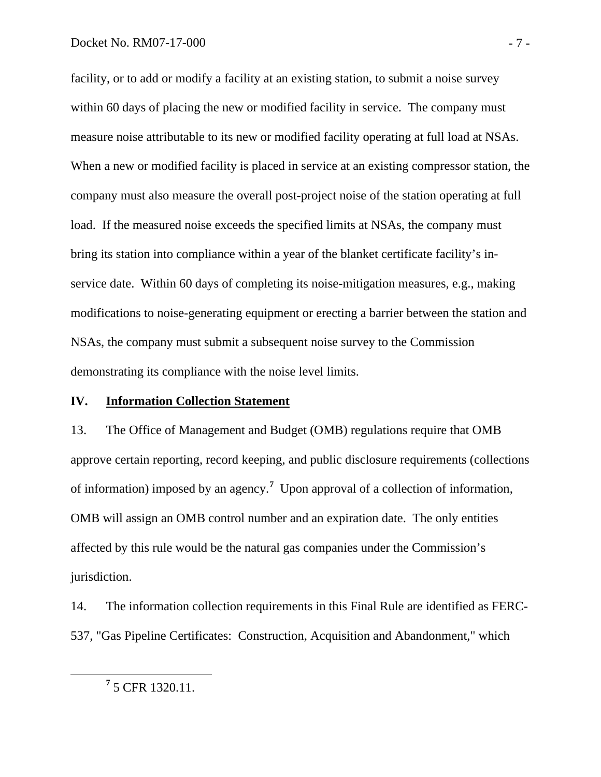#### Docket No. RM07-17-000 - 7 -

facility, or to add or modify a facility at an existing station, to submit a noise survey within 60 days of placing the new or modified facility in service. The company must measure noise attributable to its new or modified facility operating at full load at NSAs. When a new or modified facility is placed in service at an existing compressor station, the company must also measure the overall post-project noise of the station operating at full load. If the measured noise exceeds the specified limits at NSAs, the company must bring its station into compliance within a year of the blanket certificate facility's inservice date. Within 60 days of completing its noise-mitigation measures, e.g., making modifications to noise-generating equipment or erecting a barrier between the station and NSAs, the company must submit a subsequent noise survey to the Commission demonstrating its compliance with the noise level limits.

# **IV. Information Collection Statement**

13. The Office of Management and Budget (OMB) regulations require that OMB approve certain reporting, record keeping, and public disclosure requirements (collections of information) imposed by an agency.**<sup>7</sup>** Upon approval of a collection of information, OMB will assign an OMB control number and an expiration date. The only entities affected by this rule would be the natural gas companies under the Commission's jurisdiction.

14. The information collection requirements in this Final Rule are identified as FERC-537, "Gas Pipeline Certificates: Construction, Acquisition and Abandonment," which

**<sup>7</sup>** 5 CFR 1320.11.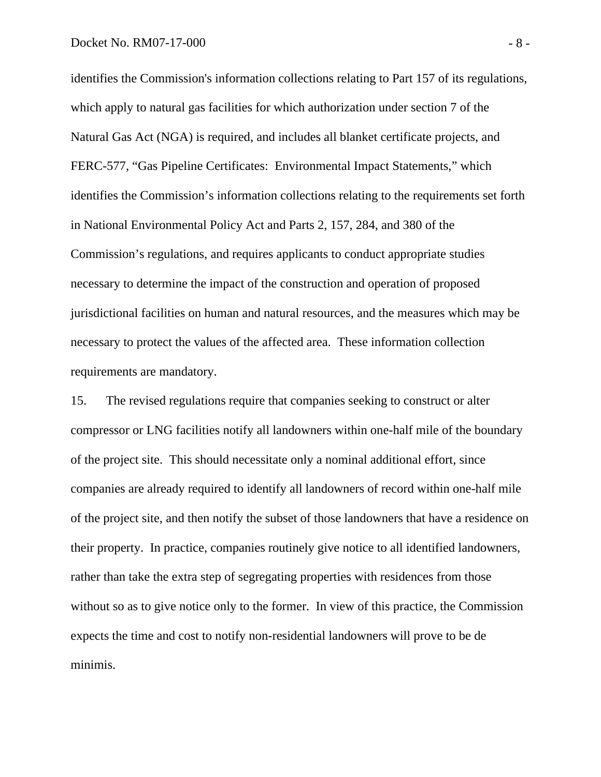identifies the Commission's information collections relating to Part 157 of its regulations, which apply to natural gas facilities for which authorization under section 7 of the Natural Gas Act (NGA) is required, and includes all blanket certificate projects, and FERC-577, "Gas Pipeline Certificates: Environmental Impact Statements," which identifies the Commission's information collections relating to the requirements set forth in National Environmental Policy Act and Parts 2, 157, 284, and 380 of the Commission's regulations, and requires applicants to conduct appropriate studies necessary to determine the impact of the construction and operation of proposed jurisdictional facilities on human and natural resources, and the measures which may be necessary to protect the values of the affected area. These information collection requirements are mandatory.

15. The revised regulations require that companies seeking to construct or alter compressor or LNG facilities notify all landowners within one-half mile of the boundary of the project site. This should necessitate only a nominal additional effort, since companies are already required to identify all landowners of record within one-half mile of the project site, and then notify the subset of those landowners that have a residence on their property. In practice, companies routinely give notice to all identified landowners, rather than take the extra step of segregating properties with residences from those without so as to give notice only to the former. In view of this practice, the Commission expects the time and cost to notify non-residential landowners will prove to be de minimis.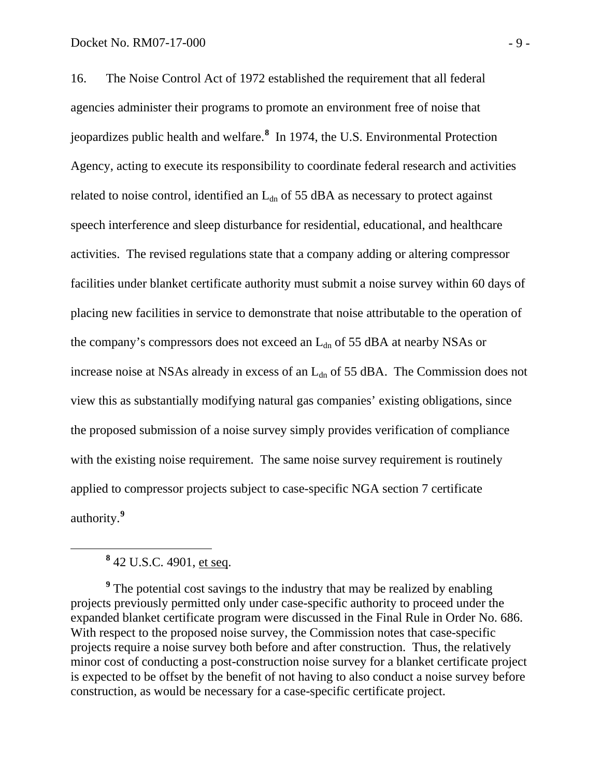16. The Noise Control Act of 1972 established the requirement that all federal agencies administer their programs to promote an environment free of noise that jeopardizes public health and welfare.**<sup>8</sup>** In 1974, the U.S. Environmental Protection Agency, acting to execute its responsibility to coordinate federal research and activities related to noise control, identified an  $L_{dn}$  of 55 dBA as necessary to protect against speech interference and sleep disturbance for residential, educational, and healthcare activities. The revised regulations state that a company adding or altering compressor facilities under blanket certificate authority must submit a noise survey within 60 days of placing new facilities in service to demonstrate that noise attributable to the operation of the company's compressors does not exceed an  $L_{dn}$  of 55 dBA at nearby NSAs or increase noise at NSAs already in excess of an  $L_{dn}$  of 55 dBA. The Commission does not view this as substantially modifying natural gas companies' existing obligations, since the proposed submission of a noise survey simply provides verification of compliance with the existing noise requirement. The same noise survey requirement is routinely applied to compressor projects subject to case-specific NGA section 7 certificate authority.**<sup>9</sup>**

**<sup>8</sup>** 42 U.S.C. 4901, et seq.

<sup>&</sup>lt;sup>9</sup> The potential cost savings to the industry that may be realized by enabling projects previously permitted only under case-specific authority to proceed under the expanded blanket certificate program were discussed in the Final Rule in Order No. 686. With respect to the proposed noise survey, the Commission notes that case-specific projects require a noise survey both before and after construction. Thus, the relatively minor cost of conducting a post-construction noise survey for a blanket certificate project is expected to be offset by the benefit of not having to also conduct a noise survey before construction, as would be necessary for a case-specific certificate project.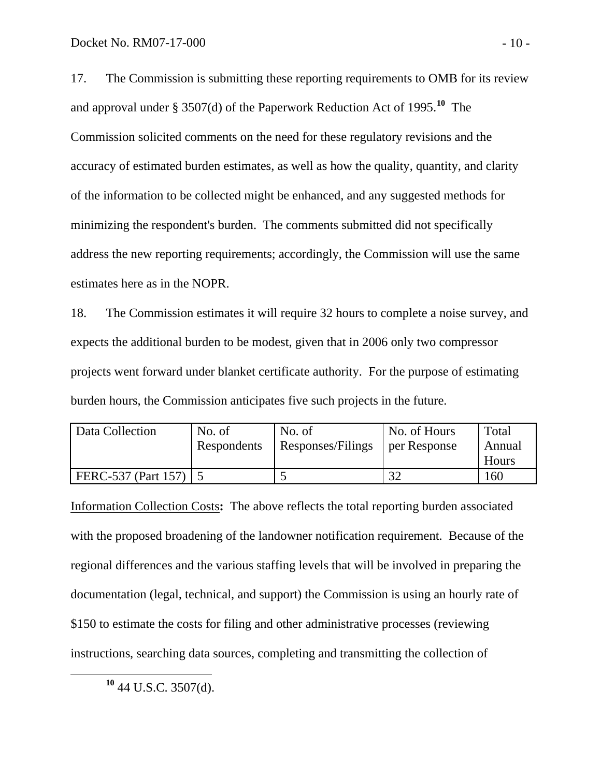17. The Commission is submitting these reporting requirements to OMB for its review and approval under § 3507(d) of the Paperwork Reduction Act of 1995.**<sup>10</sup>** The Commission solicited comments on the need for these regulatory revisions and the accuracy of estimated burden estimates, as well as how the quality, quantity, and clarity of the information to be collected might be enhanced, and any suggested methods for minimizing the respondent's burden. The comments submitted did not specifically address the new reporting requirements; accordingly, the Commission will use the same estimates here as in the NOPR.

18. The Commission estimates it will require 32 hours to complete a noise survey, and expects the additional burden to be modest, given that in 2006 only two compressor projects went forward under blanket certificate authority. For the purpose of estimating burden hours, the Commission anticipates five such projects in the future.

| Data Collection     | No. of      | No. of            | No. of Hours | Total  |
|---------------------|-------------|-------------------|--------------|--------|
|                     | Respondents | Responses/Filings | per Response | Annual |
|                     |             |                   |              | Hours  |
| FERC-537 (Part 157) |             |                   | $\Omega$     | 160    |

Information Collection Costs**:** The above reflects the total reporting burden associated with the proposed broadening of the landowner notification requirement. Because of the regional differences and the various staffing levels that will be involved in preparing the documentation (legal, technical, and support) the Commission is using an hourly rate of \$150 to estimate the costs for filing and other administrative processes (reviewing instructions, searching data sources, completing and transmitting the collection of

**<sup>10</sup>** 44 U.S.C. 3507(d).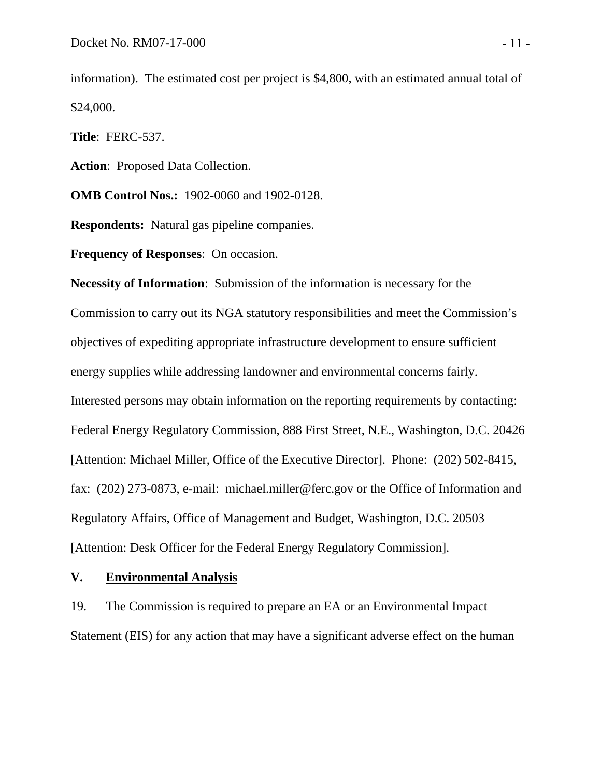information). The estimated cost per project is \$4,800, with an estimated annual total of \$24,000.

**Title**: FERC-537.

**Action**: Proposed Data Collection.

**OMB Control Nos.:** 1902-0060 and 1902-0128.

**Respondents:** Natural gas pipeline companies.

**Frequency of Responses**: On occasion.

**Necessity of Information**: Submission of the information is necessary for the Commission to carry out its NGA statutory responsibilities and meet the Commission's objectives of expediting appropriate infrastructure development to ensure sufficient energy supplies while addressing landowner and environmental concerns fairly. Interested persons may obtain information on the reporting requirements by contacting: Federal Energy Regulatory Commission, 888 First Street, N.E., Washington, D.C. 20426 [Attention: Michael Miller, Office of the Executive Director]. Phone: (202) 502-8415, fax: (202) 273-0873, e-mail: michael.miller@ferc.gov or the Office of Information and Regulatory Affairs, Office of Management and Budget, Washington, D.C. 20503 [Attention: Desk Officer for the Federal Energy Regulatory Commission].

#### **V. Environmental Analysis**

19. The Commission is required to prepare an EA or an Environmental Impact Statement (EIS) for any action that may have a significant adverse effect on the human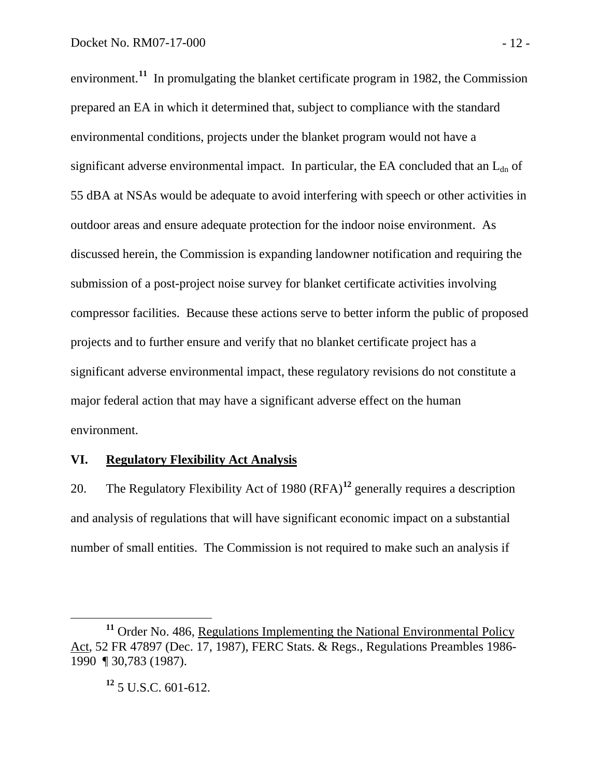environment.<sup>11</sup> In promulgating the blanket certificate program in 1982, the Commission prepared an EA in which it determined that, subject to compliance with the standard environmental conditions, projects under the blanket program would not have a significant adverse environmental impact. In particular, the EA concluded that an  $L_{dn}$  of 55 dBA at NSAs would be adequate to avoid interfering with speech or other activities in outdoor areas and ensure adequate protection for the indoor noise environment. As discussed herein, the Commission is expanding landowner notification and requiring the submission of a post-project noise survey for blanket certificate activities involving compressor facilities. Because these actions serve to better inform the public of proposed projects and to further ensure and verify that no blanket certificate project has a significant adverse environmental impact, these regulatory revisions do not constitute a major federal action that may have a significant adverse effect on the human environment.

# **VI. Regulatory Flexibility Act Analysis**

20. The Regulatory Flexibility Act of 1980 (RFA)**<sup>12</sup>** generally requires a description and analysis of regulations that will have significant economic impact on a substantial number of small entities. The Commission is not required to make such an analysis if

<sup>&</sup>lt;sup>11</sup> Order No. 486, Regulations Implementing the National Environmental Policy Act, 52 FR 47897 (Dec. 17, 1987), FERC Stats. & Regs., Regulations Preambles 1986- 1990 ¶ 30,783 (1987).

**<sup>12</sup>** 5 U.S.C. 601-612.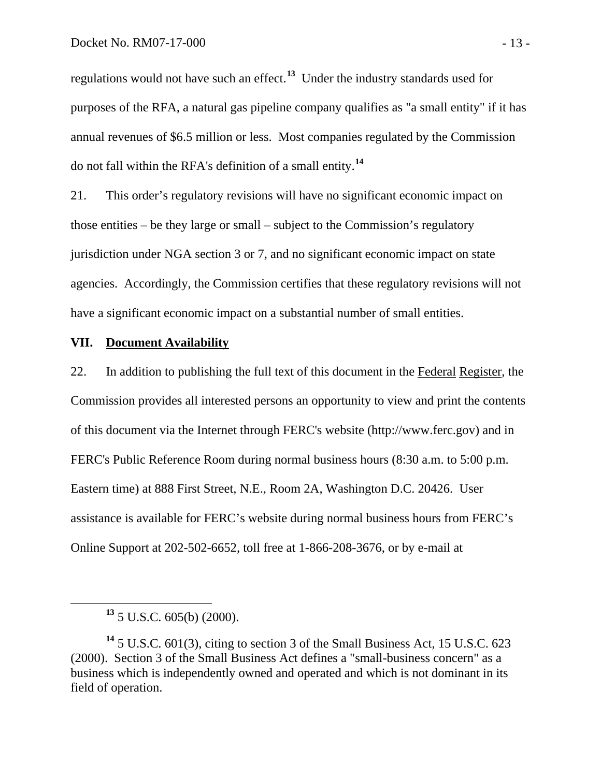regulations would not have such an effect.**<sup>13</sup>** Under the industry standards used for purposes of the RFA, a natural gas pipeline company qualifies as "a small entity" if it has annual revenues of \$6.5 million or less. Most companies regulated by the Commission do not fall within the RFA's definition of a small entity.**<sup>14</sup>**

21. This order's regulatory revisions will have no significant economic impact on those entities – be they large or small – subject to the Commission's regulatory jurisdiction under NGA section 3 or 7, and no significant economic impact on state agencies. Accordingly, the Commission certifies that these regulatory revisions will not have a significant economic impact on a substantial number of small entities.

## **VII. Document Availability**

22. In addition to publishing the full text of this document in the Federal Register, the Commission provides all interested persons an opportunity to view and print the contents of this document via the Internet through FERC's website (http://www.ferc.gov) and in FERC's Public Reference Room during normal business hours (8:30 a.m. to 5:00 p.m. Eastern time) at 888 First Street, N.E., Room 2A, Washington D.C. 20426. User assistance is available for FERC's website during normal business hours from FERC's Online Support at 202-502-6652, toll free at 1-866-208-3676, or by e-mail at

**<sup>13</sup>** 5 U.S.C. 605(b) (2000).

**<sup>14</sup>** 5 U.S.C. 601(3), citing to section 3 of the Small Business Act, 15 U.S.C. 623 (2000). Section 3 of the Small Business Act defines a "small-business concern" as a business which is independently owned and operated and which is not dominant in its field of operation.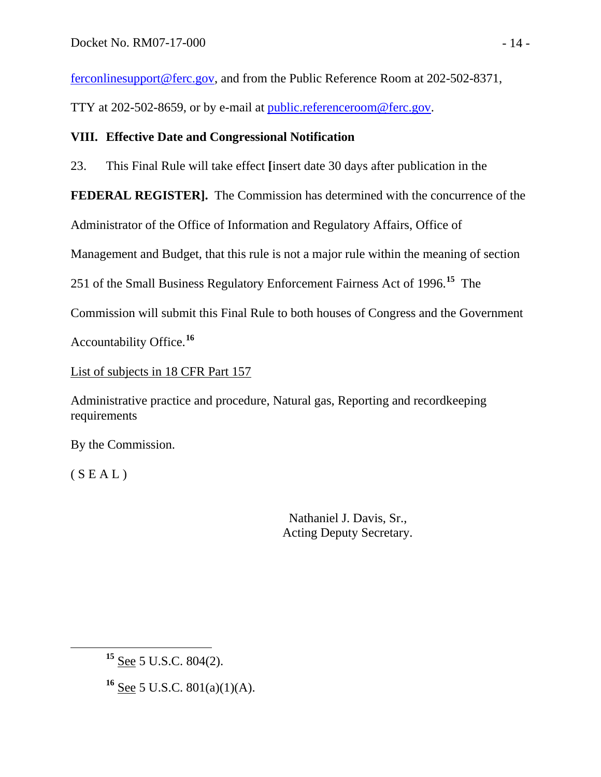ferconlinesupport@ferc.gov, and from the Public Reference Room at 202-502-8371,

TTY at 202-502-8659, or by e-mail at public.referenceroom@ferc.gov.

# **VIII. Effective Date and Congressional Notification**

23. This Final Rule will take effect **[**insert date 30 days after publication in the

**FEDERAL REGISTER].** The Commission has determined with the concurrence of the

Administrator of the Office of Information and Regulatory Affairs, Office of

Management and Budget, that this rule is not a major rule within the meaning of section

251 of the Small Business Regulatory Enforcement Fairness Act of 1996.**<sup>15</sup>** The

Commission will submit this Final Rule to both houses of Congress and the Government

Accountability Office.**<sup>16</sup>**

List of subjects in 18 CFR Part 157

Administrative practice and procedure, Natural gas, Reporting and recordkeeping requirements

By the Commission.

 $(S E A L)$ 

 Nathaniel J. Davis, Sr., Acting Deputy Secretary.

**<sup>16</sup>** See 5 U.S.C. 801(a)(1)(A).

**<sup>15</sup>** See 5 U.S.C. 804(2).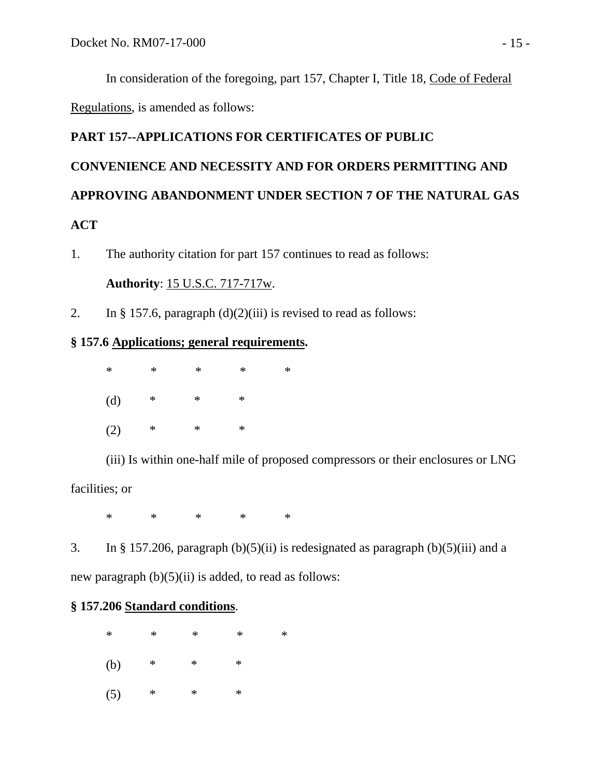In consideration of the foregoing, part 157, Chapter I, Title 18, Code of Federal Regulations, is amended as follows:

# **PART 157--APPLICATIONS FOR CERTIFICATES OF PUBLIC CONVENIENCE AND NECESSITY AND FOR ORDERS PERMITTING AND APPROVING ABANDONMENT UNDER SECTION 7 OF THE NATURAL GAS ACT**

1. The authority citation for part 157 continues to read as follows:

**Authority**: 15 U.S.C. 717-717w.

2. In § 157.6, paragraph  $(d)(2)(iii)$  is revised to read as follows:

# **§ 157.6 Applications; general requirements.**

 \* \* \* \* \* (d) \* \* \*  $(2)$  \* \* \*

 (iii) Is within one-half mile of proposed compressors or their enclosures or LNG facilities; or

 $\ast$   $\ast$   $\ast$   $\ast$   $\ast$ 

3. In § 157.206, paragraph  $(b)(5)(ii)$  is redesignated as paragraph  $(b)(5)(iii)$  and a new paragraph  $(b)(5)(ii)$  is added, to read as follows:

# **§ 157.206 Standard conditions**.

 \* \* \* \* \* (b) \* \* \* (5) \* \* \*